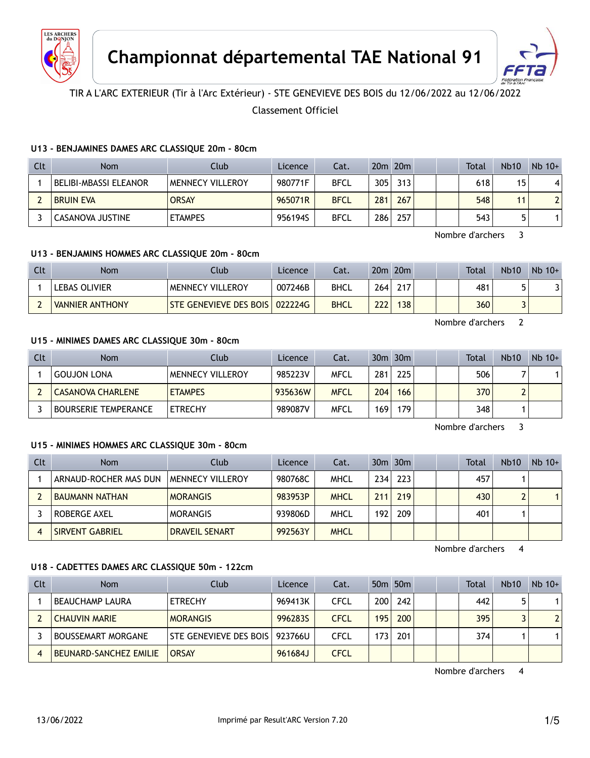



# TIR A L'ARC EXTERIEUR (Tir à l'Arc Extérieur) - STE GENEVIEVE DES BOIS du 12/06/2022 au 12/06/2022

## Classement Officiel

### **U13 - BENJAMINES DAMES ARC CLASSIQUE 20m - 80cm**

| Clt | <b>Nom</b>            | Club                    | Licence | Cat.        |     | $20m$ $20m$      |  | Total | <b>Nb10</b> | $Nb$ 10+ |
|-----|-----------------------|-------------------------|---------|-------------|-----|------------------|--|-------|-------------|----------|
|     | BELIBI-MBASSI ELEANOR | <b>MENNECY VILLEROY</b> | 980771F | <b>BFCL</b> | 305 | 313 <sub>1</sub> |  | 618   | 15          | 4        |
|     | <b>BRUIN EVA</b>      | <b>ORSAY</b>            | 965071R | <b>BFCL</b> | 281 | 267 <sub>1</sub> |  | 548   |             |          |
|     | CASANOVA JUSTINE      | <b>ETAMPES</b>          | 956194S | <b>BFCL</b> | 286 | 257              |  | 543   |             |          |

Nombre d'archers 3

### **U13 - BENJAMINS HOMMES ARC CLASSIQUE 20m - 80cm**

| Clt | <b>Nom</b>             | Club                          | Licence | Cat.        |     | $20m$ $20m$ |  | Total | <b>Nb10</b> | $Nb$ 10+ |
|-----|------------------------|-------------------------------|---------|-------------|-----|-------------|--|-------|-------------|----------|
|     | LEBAS OLIVIER          | <b>MENNECY VILLEROY</b>       | 007246B | <b>BHCL</b> | 264 | 217         |  | 481   |             |          |
|     | <b>VANNIER ANTHONY</b> | <b>STE GENEVIEVE DES BOIS</b> | 022224G | <b>BHCL</b> | 222 | 38          |  | 360   |             |          |

Nombre d'archers 2

#### **U15 - MINIMES DAMES ARC CLASSIQUE 30m - 80cm**

| Clt | Nom                         | Club             | Licence | Cat.        |                  | $30m$ $30m$ |  | Total | <b>Nb10</b> | $Nb$ 10+ |
|-----|-----------------------------|------------------|---------|-------------|------------------|-------------|--|-------|-------------|----------|
|     | GOUJON LONA                 | MENNECY VILLEROY | 985223V | MFCL        | 281              | 225         |  | 506   |             |          |
|     | <b>CASANOVA CHARLENE</b>    | <b>ETAMPES</b>   | 935636W | <b>MFCL</b> | 204 <sub>1</sub> | 166         |  | 370   |             |          |
|     | <b>BOURSERIE TEMPERANCE</b> | <b>ETRECHY</b>   | 989087V | MFCL        | 169              | 179         |  | 348   |             |          |

Nombre d'archers 3

### **U15 - MINIMES HOMMES ARC CLASSIQUE 30m - 80cm**

| Clt | <b>Nom</b>             | Club                  | Licence | Cat.        |     | 30m 30m |  | Total | <b>Nb10</b> | $Nb$ 10+ |
|-----|------------------------|-----------------------|---------|-------------|-----|---------|--|-------|-------------|----------|
|     | ARNAUD-ROCHER MAS DUN  | MENNECY VILLEROY      | 980768C | <b>MHCL</b> | 234 | 223     |  | 457   |             |          |
|     | <b>BAUMANN NATHAN</b>  | <b>MORANGIS</b>       | 983953P | <b>MHCL</b> | 211 | 219     |  | 430   |             |          |
|     | ROBERGE AXEL           | <b>MORANGIS</b>       | 939806D | <b>MHCL</b> | 192 | 209     |  | 401   |             |          |
| 4   | <b>SIRVENT GABRIEL</b> | <b>DRAVEIL SENART</b> | 992563Y | <b>MHCL</b> |     |         |  |       |             |          |

Nombre d'archers 4

### **U18 - CADETTES DAMES ARC CLASSIQUE 50m - 122cm**

| Clt | <b>Nom</b>                    | Club                   | Licence | Cat.        |                  | 50 <sub>m</sub> 50 <sub>m</sub> |  | <b>Total</b> | <b>Nb10</b> | $Nb$ 10+       |
|-----|-------------------------------|------------------------|---------|-------------|------------------|---------------------------------|--|--------------|-------------|----------------|
|     | BEAUCHAMP LAURA               | <b>ETRECHY</b>         | 969413K | CFCL        | 200 <sub>1</sub> | 242                             |  | 442          |             |                |
|     | <b>CHAUVIN MARIE</b>          | <b>MORANGIS</b>        | 996283S | <b>CFCL</b> | 195              | 200                             |  | 395          |             | 2 <sub>1</sub> |
|     | <b>BOUSSEMART MORGANE</b>     | STE GENEVIEVE DES BOIS | 923766U | CFCL        | 173              | 201                             |  | 374          |             |                |
|     | <b>BEUNARD-SANCHEZ EMILIE</b> | <b>ORSAY</b>           | 961684J | <b>CFCL</b> |                  |                                 |  |              |             |                |

Nombre d'archers 4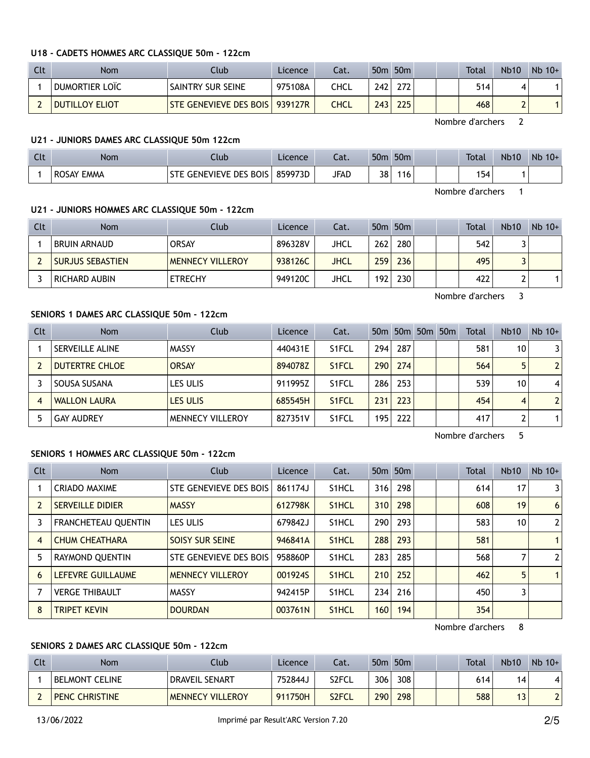### **U18 - CADETS HOMMES ARC CLASSIQUE 50m - 122cm**

| Clt | <b>Nom</b>            | Club                           | Licence | Cat.        |     | 50 <sub>m</sub> 50 <sub>m</sub> |  | <b>Total</b> | <b>Nb10</b> | $Nb$ 10+ |
|-----|-----------------------|--------------------------------|---------|-------------|-----|---------------------------------|--|--------------|-------------|----------|
|     | DUMORTIER LOIC        | SAINTRY SUR SEINE              | 975108A | CHCL        | 242 | 272                             |  | 514          |             |          |
|     | <b>DUTILLOY ELIOT</b> | STE GENEVIEVE DES BOIS 939127R |         | <b>CHCL</b> | 243 | 225                             |  | 468          |             |          |

Nombre d'archers 2

## **U21 - JUNIORS DAMES ARC CLASSIQUE 50m 122cm**

| Clt | Nom        | :lub               | Licence | $\sim$<br>-al. | 50 <sub>π</sub> | 50 <sub>m</sub> |  | <b>Total</b> | <b>Nb10</b> | $Nb$ 10+ |
|-----|------------|--------------------|---------|----------------|-----------------|-----------------|--|--------------|-------------|----------|
|     | ROSAY EMMA | GENEVIEVE DES BOIS | 859973D | JFAD           | 38              | ำ6              |  | 54           |             |          |

Nombre d'archers 1

### **U21 - JUNIORS HOMMES ARC CLASSIQUE 50m - 122cm**

| Clt | Nom                     | Club                    | Licence | Cat. |     | 50 <sub>m</sub> 50 <sub>m</sub> |  | Total | <b>Nb10</b> | $Nb$ 10+ |
|-----|-------------------------|-------------------------|---------|------|-----|---------------------------------|--|-------|-------------|----------|
|     | <b>BRUIN ARNAUD</b>     | <b>ORSAY</b>            | 896328V | JHCL | 262 | 280                             |  | 542   |             |          |
|     | <b>SURJUS SEBASTIEN</b> | <b>MENNECY VILLEROY</b> | 938126C | JHCL | 259 | 236                             |  | 495   |             |          |
|     | RICHARD AUBIN           | <b>ETRECHY</b>          | 949120C | JHCL | 192 | 230                             |  | 422   | ີ<br>▴      |          |

Nombre d'archers 3

### **SENIORS 1 DAMES ARC CLASSIQUE 50m - 122cm**

| Clt | <b>Nom</b>          | Club                    | Licence | Cat.               |     |     | 50m 50m 50m 50m | <b>Total</b> | <b>Nb10</b> | $Nb$ 10+       |
|-----|---------------------|-------------------------|---------|--------------------|-----|-----|-----------------|--------------|-------------|----------------|
|     | SERVEILLE ALINE     | <b>MASSY</b>            | 440431E | S <sub>1</sub> FCL | 294 | 287 |                 | 581          | 10          | 31             |
|     | DUTERTRE CHLOE      | <b>ORSAY</b>            | 894078Z | S <sub>1</sub> FCL | 290 | 274 |                 | 564          | 5           | 2 <sup>1</sup> |
|     | SOUSA SUSANA        | LES ULIS                | 911995Z | S <sub>1</sub> FCL | 286 | 253 |                 | 539          | 10          | $\vert$        |
| 4   | <b>WALLON LAURA</b> | LES ULIS                | 685545H | S <sub>1</sub> FCL | 231 | 223 |                 | 454          | 4           | 2 <sup>1</sup> |
|     | <b>GAY AUDREY</b>   | <b>MENNECY VILLEROY</b> | 827351V | S1FCL              | 195 | 222 |                 | 417          |             |                |

Nombre d'archers 5

### **SENIORS 1 HOMMES ARC CLASSIQUE 50m - 122cm**

| <b>Clt</b> | Nom                     | Club                    | Licence | Cat.               |     | 50 <sub>m</sub> 50 <sub>m</sub> |  | <b>Total</b> | <b>Nb10</b> | $Nb$ 10+       |
|------------|-------------------------|-------------------------|---------|--------------------|-----|---------------------------------|--|--------------|-------------|----------------|
|            | CRIADO MAXIME           | STE GENEVIEVE DES BOIS  | 861174J | S1HCL              | 316 | 298                             |  | 614          | 17          | $\overline{3}$ |
|            | <b>SERVEILLE DIDIER</b> | <b>MASSY</b>            | 612798K | S <sub>1</sub> HCL | 310 | 298                             |  | 608          | 19          | 6 <sup>1</sup> |
|            | FRANCHETEAU QUENTIN     | LES ULIS                | 679842J | S <sub>1</sub> HCL | 290 | 293                             |  | 583          | 10          | 2 <sup>1</sup> |
| 4          | <b>CHUM CHEATHARA</b>   | <b>SOISY SUR SEINE</b>  | 946841A | S <sub>1</sub> HCL | 288 | 293                             |  | 581          |             |                |
| 5          | RAYMOND QUENTIN         | STE GENEVIEVE DES BOIS  | 958860P | S <sub>1</sub> HCL | 283 | 285                             |  | 568          |             | 2 <sup>1</sup> |
| 6          | LEFEVRE GUILLAUME       | <b>MENNECY VILLEROY</b> | 001924S | S <sub>1</sub> HCL | 210 | 252                             |  | 462          | 5           |                |
|            | <b>VERGE THIBAULT</b>   | <b>MASSY</b>            | 942415P | S1HCL              | 234 | 216                             |  | 450          | 3           |                |
| 8          | <b>TRIPET KEVIN</b>     | <b>DOURDAN</b>          | 003761N | S <sub>1</sub> HCL | 160 | 194                             |  | 354          |             |                |

Nombre d'archers 8

## **SENIORS 2 DAMES ARC CLASSIQUE 50m - 122cm**

| Clt | Nom                   | Club                    | <b>Licence</b> | Cat.  | 50 <sub>m</sub> | 50 <sub>m</sub>  |  | Total | <b>Nb10</b>                   | $Nb$ 10+ |
|-----|-----------------------|-------------------------|----------------|-------|-----------------|------------------|--|-------|-------------------------------|----------|
|     | <b>BELMONT CELINE</b> | <b>DRAVEIL SENART</b>   | 752844J        | S2FCL | 306             | 308 <sub>1</sub> |  | 614   | 14                            | 4        |
|     | <b>PENC CHRISTINE</b> | <b>MENNECY VILLEROY</b> | 911750H        | S2FCL | 290             | 298              |  | 588   | $\mathbf{\overline{}}$<br>ر ا |          |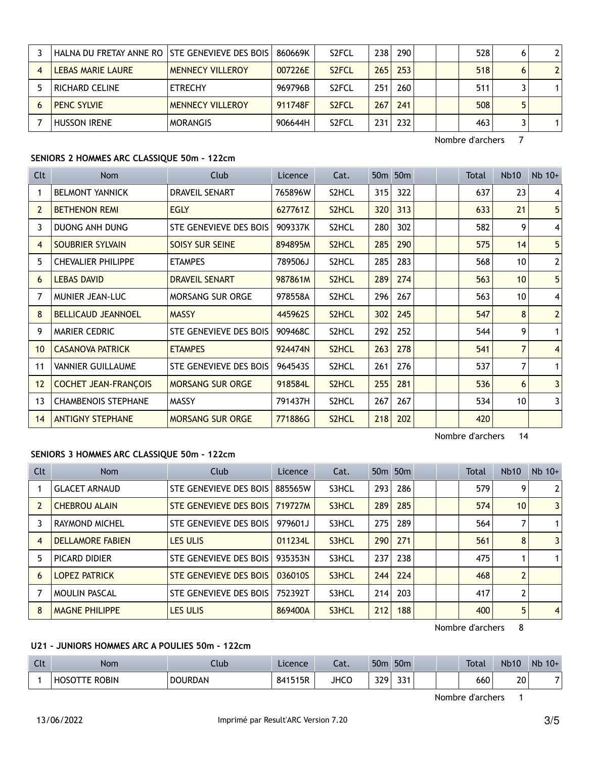| HALNA DU FRETAY ANNE RO   STE GENEVIEVE DES BOIS |                         | 860669K | S <sub>2</sub> FCL | 238 | 290 |  | 528 | 6. | 2 <sup>1</sup> |
|--------------------------------------------------|-------------------------|---------|--------------------|-----|-----|--|-----|----|----------------|
| <b>LEBAS MARIE LAURE</b>                         | <b>MENNECY VILLEROY</b> | 007226E | S <sub>2</sub> FCL | 265 | 253 |  | 518 | 6  | 2 <sup>1</sup> |
| RICHARD CELINE                                   | <b>ETRECHY</b>          | 969796B | S <sub>2</sub> FCL | 251 | 260 |  | 511 |    |                |
| <b>PENC SYLVIE</b>                               | <b>MENNECY VILLEROY</b> | 911748F | S <sub>2</sub> FCL | 267 | 241 |  | 508 |    |                |
| <b>HUSSON IRENE</b>                              | <b>MORANGIS</b>         | 906644H | S <sub>2</sub> FCL | 231 | 232 |  | 463 |    |                |

Nombre d'archers 7

## **SENIORS 2 HOMMES ARC CLASSIQUE 50m - 122cm**

| <b>Clt</b>      | Nom                         | <b>Club</b>             | Licence | Cat.               |     | 50 <sub>m</sub> 50 <sub>m</sub> |  | Total | <b>Nb10</b> | $Nb$ 10+       |
|-----------------|-----------------------------|-------------------------|---------|--------------------|-----|---------------------------------|--|-------|-------------|----------------|
|                 | <b>BELMONT YANNICK</b>      | DRAVEIL SENART          | 765896W | S2HCL              | 315 | 322                             |  | 637   | 23          | 4              |
| $\overline{2}$  | <b>BETHENON REMI</b>        | <b>EGLY</b>             | 627761Z | S2HCL              | 320 | 313                             |  | 633   | 21          | 5              |
| 3               | <b>DUONG ANH DUNG</b>       | STE GENEVIEVE DES BOIS  | 909337K | S2HCL              | 280 | 302                             |  | 582   | 9           | 4              |
| 4               | SOUBRIER SYLVAIN            | <b>SOISY SUR SEINE</b>  | 894895M | S2HCL              | 285 | 290                             |  | 575   | 14          | 5              |
| 5               | <b>CHEVALIER PHILIPPE</b>   | <b>ETAMPES</b>          | 789506J | S2HCL              | 285 | 283                             |  | 568   | 10          | $\overline{2}$ |
| 6               | <b>LEBAS DAVID</b>          | <b>DRAVEIL SENART</b>   | 987861M | S <sub>2</sub> HCL | 289 | 274                             |  | 563   | 10          | 5              |
|                 | MUNIER JEAN-LUC             | MORSANG SUR ORGE        | 978558A | S2HCL              | 296 | 267                             |  | 563   | 10          | 4              |
| 8               | <b>BELLICAUD JEANNOEL</b>   | <b>MASSY</b>            | 445962S | S <sub>2</sub> HCL | 302 | 245                             |  | 547   | 8           | $\overline{2}$ |
| 9               | MARIER CEDRIC               | STE GENEVIEVE DES BOIS  | 909468C | S2HCL              | 292 | 252                             |  | 544   | 9           | $\mathbf{1}$   |
| 10 <sup>1</sup> | <b>CASANOVA PATRICK</b>     | <b>ETAMPES</b>          | 924474N | S <sub>2</sub> HCL | 263 | 278                             |  | 541   | 7           | $\overline{4}$ |
| 11              | <b>VANNIER GUILLAUME</b>    | STE GENEVIEVE DES BOIS  | 964543S | S2HCL              | 261 | 276                             |  | 537   | 7           | $\mathbf{1}$   |
| 12              | <b>COCHET JEAN-FRANCOIS</b> | MORSANG SUR ORGE        | 918584L | S <sub>2</sub> HCL | 255 | 281                             |  | 536   | 6           | 3              |
| 13              | <b>CHAMBENOIS STEPHANE</b>  | <b>MASSY</b>            | 791437H | S2HCL              | 267 | 267                             |  | 534   | 10          | 3              |
| 14              | <b>ANTIGNY STEPHANE</b>     | <b>MORSANG SUR ORGE</b> | 771886G | S <sub>2</sub> HCL | 218 | 202                             |  | 420   |             |                |

Nombre d'archers 14

### **SENIORS 3 HOMMES ARC CLASSIQUE 50m - 122cm**

| Clt            | Nom                     | Club                   | <b>Licence</b> | Cat.  |     | 50 <sub>m</sub> 50 <sub>m</sub> |  | <b>Total</b> | <b>Nb10</b>     | $Nb$ 10+       |
|----------------|-------------------------|------------------------|----------------|-------|-----|---------------------------------|--|--------------|-----------------|----------------|
|                | <b>GLACET ARNAUD</b>    | STE GENEVIEVE DES BOIS | 885565W        | S3HCL | 293 | 286                             |  | 579          | q               | 2              |
|                | <b>CHEBROU ALAIN</b>    | STE GENEVIEVE DES BOIS | 719727M        | S3HCL | 289 | 285                             |  | 574          | 10 <sup>1</sup> | 3              |
|                | <b>RAYMOND MICHEL</b>   | STE GENEVIEVE DES BOIS | 979601.J       | S3HCL | 275 | 289                             |  | 564          |                 |                |
| $\overline{4}$ | <b>DELLAMORE FABIEN</b> | <b>LES ULIS</b>        | 011234L        | S3HCL | 290 | 271                             |  | 561          | 8               | 3              |
|                | PICARD DIDIER           | STE GENEVIEVE DES BOIS | 935353N        | S3HCL | 237 | 238                             |  | 475          |                 |                |
| 6              | <b>LOPEZ PATRICK</b>    | STE GENEVIEVE DES BOIS | 0360105        | S3HCL | 244 | 224                             |  | 468          |                 |                |
|                | <b>MOULIN PASCAL</b>    | STE GENEVIEVE DES BOIS | 752392T        | S3HCL | 214 | 203                             |  | 417          |                 |                |
| 8              | <b>MAGNE PHILIPPE</b>   | <b>LES ULIS</b>        | 869400A        | S3HCL | 212 | 188                             |  | 400          | 5               | $\overline{4}$ |

Nombre d'archers 8

# **U21 - JUNIORS HOMMES ARC A POULIES 50m - 122cm**

| Clt | <b>Nom</b>                  | Club           | Licence | Cat.        | 50 <sub>m</sub> | 50 <sub>m</sub> |  | <b>Total</b> | <b>Nb10</b> | Nb<br>$10+$ |
|-----|-----------------------------|----------------|---------|-------------|-----------------|-----------------|--|--------------|-------------|-------------|
|     | <b>ROBIN</b><br><b>HOSC</b> | <b>DOURDAN</b> | 841515R | <b>JHCO</b> | 370<br>JL       | 331             |  | 660          | 20          |             |

Nombre d'archers 1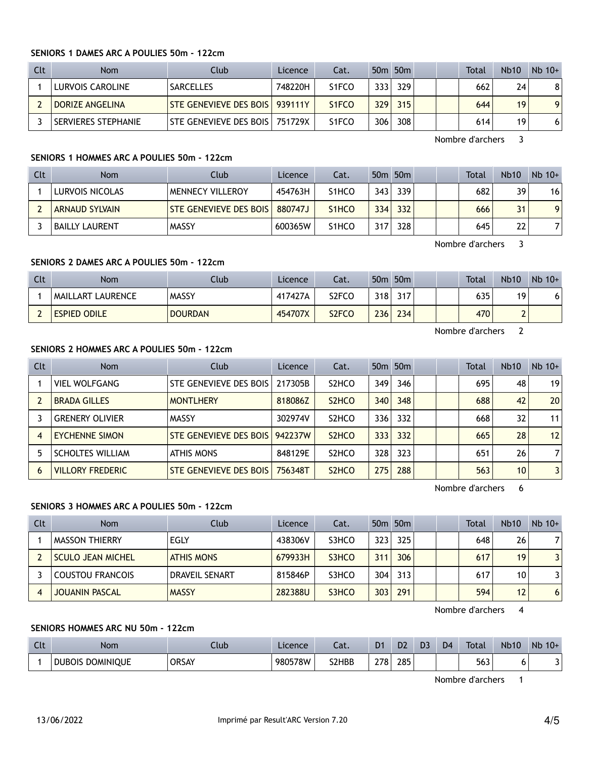### **SENIORS 1 DAMES ARC A POULIES 50m - 122cm**

| Clt | <b>Nom</b>                 | Club                             | Licence | Cat.                           |                  | 50 <sub>m</sub> 50 <sub>m</sub> |  | Total | <b>Nb10</b> | $Nb$ 10+ |
|-----|----------------------------|----------------------------------|---------|--------------------------------|------------------|---------------------------------|--|-------|-------------|----------|
|     | <b>LURVOIS CAROLINE</b>    | <b>SARCELLES</b>                 | 748220H | S <sub>1</sub> FCO             | 3331             | 329                             |  | 662   | 24          | 8        |
|     | DORIZE ANGELINA            | STE GENEVIEVE DES BOIS   939111Y |         | S <sub>1</sub> F <sub>CO</sub> | 329              | 315                             |  | 644   | 19          | 9        |
|     | <b>SERVIERES STEPHANIE</b> | STE GENEVIEVE DES BOIS   751729X |         | S <sub>1</sub> FCO             | 306 <sub>1</sub> | 308                             |  | 614   | 19          | 6        |

Nombre d'archers 3

### **SENIORS 1 HOMMES ARC A POULIES 50m - 122cm**

| Clt | Nom                   | Club                            | Licence | Cat.               |     | 50 <sub>m</sub> 50 <sub>m</sub> |  | <b>Total</b> | Nb <sub>10</sub> | $Nb$ 10+ |
|-----|-----------------------|---------------------------------|---------|--------------------|-----|---------------------------------|--|--------------|------------------|----------|
|     | LURVOIS NICOLAS       | <b>MENNECY VILLEROY</b>         | 454763H | S <sub>1</sub> HCO | 343 | 339                             |  | 682          | 39               | 16       |
|     | <b>ARNAUD SYLVAIN</b> | <b>STE GENEVIEVE DES BOIS  </b> | 880747J | S <sub>1</sub> HCO | 334 | 332                             |  | 666          | 31               | 9        |
|     | <b>BAILLY LAURENT</b> | <b>MASSY</b>                    | 600365W | S <sub>1</sub> HCO | 317 | 328                             |  | 645          | 22               |          |

Nombre d'archers 3

# **SENIORS 2 DAMES ARC A POULIES 50m - 122cm**

| Clt | <b>Nom</b>          | Club           | Licence | Cat.               | 50 <sub>m</sub> | 50 <sub>m</sub> |  | Total | <b>Nb10</b> | $Nb$ 10+ |
|-----|---------------------|----------------|---------|--------------------|-----------------|-----------------|--|-------|-------------|----------|
|     | MAILLART LAURENCE   | <b>MASSY</b>   | 417427A | S2FCO              | 318             | 317             |  | 635   | 19          | יס       |
|     | <b>ESPIED ODILE</b> | <b>DOURDAN</b> | 454707X | S <sub>2</sub> FCO | 236             | 234             |  | 470   | ∽<br>L      |          |

Nombre d'archers 2

### **SENIORS 2 HOMMES ARC A POULIES 50m - 122cm**

| <b>Clt</b> | <b>Nom</b>              | Club                   | Licence | Cat.                           |     | 50 <sub>m</sub> 50 <sub>m</sub> |  | <b>Total</b> | Nb10            | $Nb$ 10+ |
|------------|-------------------------|------------------------|---------|--------------------------------|-----|---------------------------------|--|--------------|-----------------|----------|
|            | <b>VIEL WOLFGANG</b>    | STE GENEVIEVE DES BOIS | 217305B | S <sub>2</sub> HCO             | 349 | 346                             |  | 695          | 48              | 19       |
|            | <b>BRADA GILLES</b>     | <b>MONTLHERY</b>       | 818086Z | S <sub>2</sub> H <sub>CO</sub> | 340 | 348                             |  | 688          | 42              | 20       |
|            | <b>GRENERY OLIVIER</b>  | <b>MASSY</b>           | 302974V | S <sub>2</sub> HCO             | 336 | 332                             |  | 668          | 32              | 11       |
|            | <b>EYCHENNE SIMON</b>   | STE GENEVIEVE DES BOIS | 942237W | S <sub>2</sub> H <sub>CO</sub> | 333 | 332                             |  | 665          | 28              | 12       |
|            | <b>SCHOLTES WILLIAM</b> | <b>ATHIS MONS</b>      | 848129E | S <sub>2</sub> HCO             | 328 | 323                             |  | 651          | 26              | 7        |
| 6          | <b>VILLORY FREDERIC</b> | STE GENEVIEVE DES BOIS | 756348T | S <sub>2</sub> H <sub>CO</sub> | 275 | 288                             |  | 563          | 10 <sup>°</sup> | 3        |

Nombre d'archers 6

### **SENIORS 3 HOMMES ARC A POULIES 50m - 122cm**

| Clt | <b>Nom</b>               | Club                  | Licence | Cat.  |      | 50 <sub>m</sub> 50 <sub>m</sub> |  | Total | <b>Nb10</b>     | $Nb$ 10+ |
|-----|--------------------------|-----------------------|---------|-------|------|---------------------------------|--|-------|-----------------|----------|
|     | MASSON THIERRY           | EGLY                  | 438306V | S3HCO | 3231 | 325                             |  | 648   | 26              |          |
|     | <b>SCULO JEAN MICHEL</b> | <b>ATHIS MONS</b>     | 679933H | S3HCO | 311  | 306                             |  | 617   | 19 <sub>1</sub> |          |
|     | COUSTOU FRANCOIS         | <b>DRAVEIL SENART</b> | 815846P | S3HCO | 304  | 313                             |  | 617   | 10 <sub>1</sub> |          |
|     | <b>JOUANIN PASCAL</b>    | <b>MASSY</b>          | 282388U | S3HCO | 303  | 291                             |  | 594   | 12              | 6        |

Nombre d'archers 4

# **SENIORS HOMMES ARC NU 50m - 122cm**

| $\sim$<br>uu | <b>Nom</b>                        | Iub          | Licence | $\sim$<br>cal. | D <sub>1</sub> | D <sub>2</sub> | D <sub>3</sub> | D <sub>4</sub> | Total | <b>Nb10</b> | <b>N<sub>b</sub></b><br>$10+$ |
|--------------|-----------------------------------|--------------|---------|----------------|----------------|----------------|----------------|----------------|-------|-------------|-------------------------------|
|              | <b>DOMINIOUE</b><br><b>DUBOIS</b> | <b>ORSAY</b> | 980578W | S2HBB          | 278            | 285            |                |                | 563   |             | $\sim$<br>ັ                   |

Nombre d'archers 1